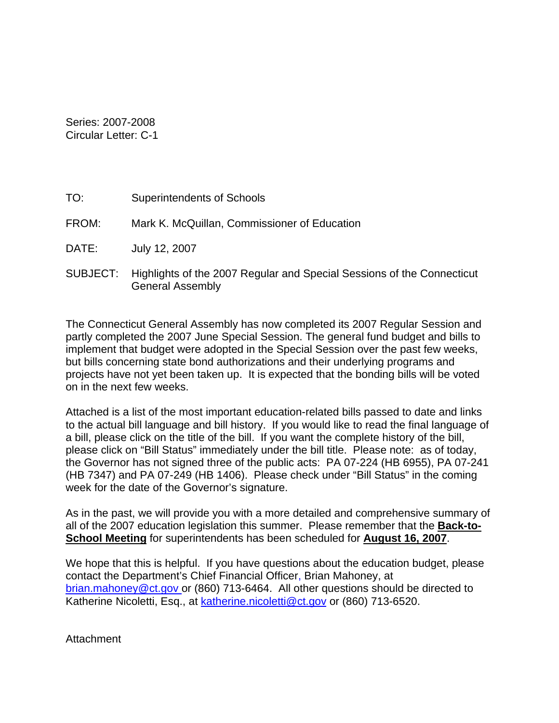Series: 2007-2008 Circular Letter: C-1

General Assembly

| TO:   | <b>Superintendents of Schools</b>                                               |
|-------|---------------------------------------------------------------------------------|
| FROM: | Mark K. McQuillan, Commissioner of Education                                    |
| DATE: | July 12, 2007                                                                   |
|       | SUBJECT: Highlights of the 2007 Regular and Special Sessions of the Connecticut |

The Connecticut General Assembly has now completed its 2007 Regular Session and partly completed the 2007 June Special Session. The general fund budget and bills to implement that budget were adopted in the Special Session over the past few weeks, but bills concerning state bond authorizations and their underlying programs and projects have not yet been taken up. It is expected that the bonding bills will be voted on in the next few weeks.

Attached is a list of the most important education-related bills passed to date and links to the actual bill language and bill history. If you would like to read the final language of a bill, please click on the title of the bill. If you want the complete history of the bill, please click on "Bill Status" immediately under the bill title. Please note: as of today, the Governor has not signed three of the public acts: PA 07-224 (HB 6955), PA 07-241 (HB 7347) and PA 07-249 (HB 1406). Please check under "Bill Status" in the coming week for the date of the Governor's signature.

As in the past, we will provide you with a more detailed and comprehensive summary of all of the 2007 education legislation this summer. Please remember that the **Back-to-School Meeting** for superintendents has been scheduled for **August 16, 2007**.

We hope that this is helpful. If you have questions about the education budget, please contact the Department's Chief Financial Officer, Brian Mahoney, at brian.mahoney@ct.gov or (860) 713-6464. All other questions should be directed to Katherine Nicoletti, Esq., at [katherine.nicoletti@ct.gov](mailto:katherine.nicoletti@ct.gov) or (860) 713-6520.

Attachment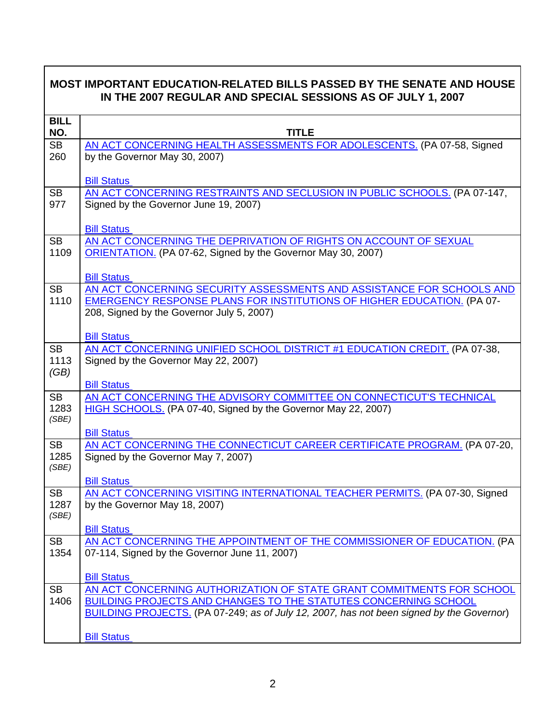| <b>MOST IMPORTANT EDUCATION-RELATED BILLS PASSED BY THE SENATE AND HOUSE</b><br>IN THE 2007 REGULAR AND SPECIAL SESSIONS AS OF JULY 1, 2007 |                                                                                                                                                                                                                                                    |  |
|---------------------------------------------------------------------------------------------------------------------------------------------|----------------------------------------------------------------------------------------------------------------------------------------------------------------------------------------------------------------------------------------------------|--|
| <b>BILL</b><br>NO.                                                                                                                          | <b>TITLE</b>                                                                                                                                                                                                                                       |  |
| <b>SB</b><br>260                                                                                                                            | AN ACT CONCERNING HEALTH ASSESSMENTS FOR ADOLESCENTS. (PA 07-58, Signed<br>by the Governor May 30, 2007)                                                                                                                                           |  |
| <b>SB</b>                                                                                                                                   | <b>Bill Status</b><br>AN ACT CONCERNING RESTRAINTS AND SECLUSION IN PUBLIC SCHOOLS. (PA 07-147,                                                                                                                                                    |  |
| 977                                                                                                                                         | Signed by the Governor June 19, 2007)                                                                                                                                                                                                              |  |
| <b>SB</b>                                                                                                                                   | <b>Bill Status</b><br>AN ACT CONCERNING THE DEPRIVATION OF RIGHTS ON ACCOUNT OF SEXUAL                                                                                                                                                             |  |
| 1109                                                                                                                                        | ORIENTATION. (PA 07-62, Signed by the Governor May 30, 2007)                                                                                                                                                                                       |  |
| <b>SB</b>                                                                                                                                   | <b>Bill Status</b><br>AN ACT CONCERNING SECURITY ASSESSMENTS AND ASSISTANCE FOR SCHOOLS AND                                                                                                                                                        |  |
| 1110                                                                                                                                        | EMERGENCY RESPONSE PLANS FOR INSTITUTIONS OF HIGHER EDUCATION. (PA 07-<br>208, Signed by the Governor July 5, 2007)                                                                                                                                |  |
|                                                                                                                                             | <b>Bill Status</b>                                                                                                                                                                                                                                 |  |
| <b>SB</b><br>1113<br>(GB)                                                                                                                   | AN ACT CONCERNING UNIFIED SCHOOL DISTRICT #1 EDUCATION CREDIT. (PA 07-38,<br>Signed by the Governor May 22, 2007)                                                                                                                                  |  |
|                                                                                                                                             | <b>Bill Status</b>                                                                                                                                                                                                                                 |  |
| <b>SB</b><br>1283<br>(SBE)                                                                                                                  | AN ACT CONCERNING THE ADVISORY COMMITTEE ON CONNECTICUT'S TECHNICAL<br>HIGH SCHOOLS. (PA 07-40, Signed by the Governor May 22, 2007)                                                                                                               |  |
|                                                                                                                                             | <b>Bill Status</b>                                                                                                                                                                                                                                 |  |
| <b>SB</b><br>1285<br>(SBE)                                                                                                                  | AN ACT CONCERNING THE CONNECTICUT CAREER CERTIFICATE PROGRAM. (PA 07-20,<br>Signed by the Governor May 7, 2007)                                                                                                                                    |  |
|                                                                                                                                             | <b>Bill Status</b>                                                                                                                                                                                                                                 |  |
| <b>SB</b><br>1287<br>(SBE)                                                                                                                  | AN ACT CONCERNING VISITING INTERNATIONAL TEACHER PERMITS. (PA 07-30, Signed<br>by the Governor May 18, 2007)                                                                                                                                       |  |
|                                                                                                                                             | <b>Bill Status</b>                                                                                                                                                                                                                                 |  |
| <b>SB</b><br>1354                                                                                                                           | AN ACT CONCERNING THE APPOINTMENT OF THE COMMISSIONER OF EDUCATION. (PA<br>07-114, Signed by the Governor June 11, 2007)                                                                                                                           |  |
|                                                                                                                                             | <b>Bill Status</b>                                                                                                                                                                                                                                 |  |
| <b>SB</b><br>1406                                                                                                                           | AN ACT CONCERNING AUTHORIZATION OF STATE GRANT COMMITMENTS FOR SCHOOL<br><b>BUILDING PROJECTS AND CHANGES TO THE STATUTES CONCERNING SCHOOL</b><br><b>BUILDING PROJECTS.</b> (PA 07-249; as of July 12, 2007, has not been signed by the Governor) |  |
|                                                                                                                                             | <b>Bill Status</b>                                                                                                                                                                                                                                 |  |